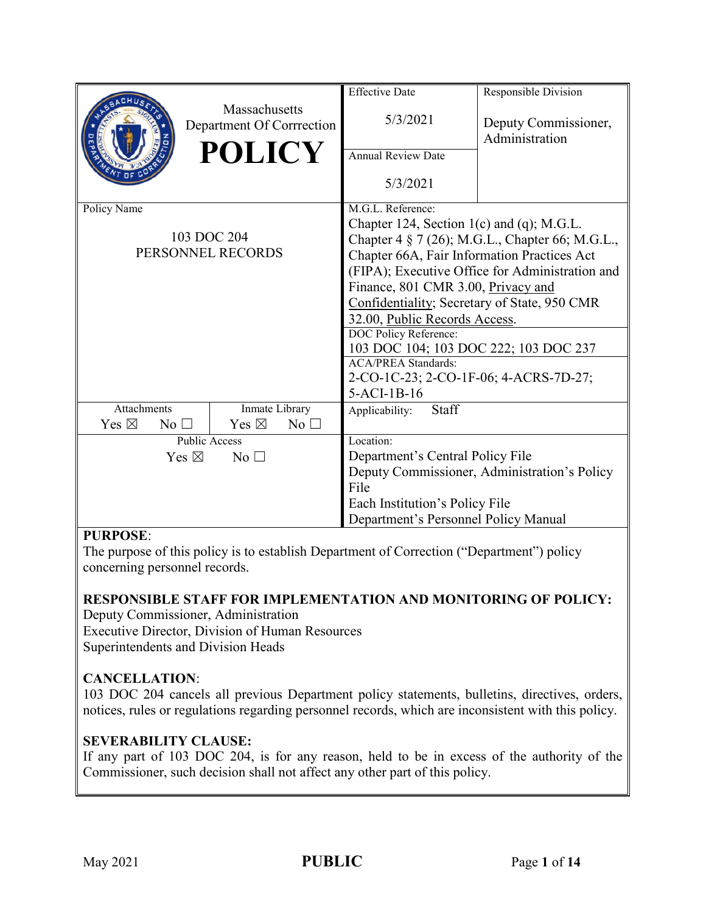|                                                  |                                            | <b>Effective Date</b>                           | Responsible Division                   |  |  |
|--------------------------------------------------|--------------------------------------------|-------------------------------------------------|----------------------------------------|--|--|
|                                                  | Massachusetts<br>Department Of Corrrection | 5/3/2021                                        | Deputy Commissioner,<br>Administration |  |  |
|                                                  | <b>POLICY</b>                              | <b>Annual Review Date</b>                       |                                        |  |  |
|                                                  |                                            | 5/3/2021                                        |                                        |  |  |
| Policy Name                                      |                                            | M.G.L. Reference:                               |                                        |  |  |
|                                                  |                                            | Chapter 124, Section 1(c) and (q); M.G.L.       |                                        |  |  |
|                                                  | 103 DOC 204                                | Chapter 4 § 7 (26); M.G.L., Chapter 66; M.G.L., |                                        |  |  |
|                                                  | PERSONNEL RECORDS                          | Chapter 66A, Fair Information Practices Act     |                                        |  |  |
|                                                  |                                            | (FIPA); Executive Office for Administration and |                                        |  |  |
|                                                  |                                            | Finance, 801 CMR 3.00, Privacy and              |                                        |  |  |
|                                                  |                                            | Confidentiality; Secretary of State, 950 CMR    |                                        |  |  |
|                                                  |                                            | 32.00, Public Records Access.                   |                                        |  |  |
|                                                  |                                            | DOC Policy Reference:                           |                                        |  |  |
|                                                  |                                            | 103 DOC 104; 103 DOC 222; 103 DOC 237           |                                        |  |  |
|                                                  |                                            | <b>ACA/PREA Standards:</b>                      |                                        |  |  |
|                                                  |                                            | 2-CO-1C-23; 2-CO-1F-06; 4-ACRS-7D-27;           |                                        |  |  |
|                                                  |                                            | $5-ACI-1B-16$                                   |                                        |  |  |
| Attachments<br>Yes $\boxtimes$<br>$No$ $\square$ | Inmate Library<br>Yes $\boxtimes$          | Staff<br>Applicability:                         |                                        |  |  |
|                                                  | No                                         | Location:                                       |                                        |  |  |
| <b>Public Access</b>                             |                                            | Department's Central Policy File                |                                        |  |  |
| Yes $\boxtimes$<br>$No$ $\square$                |                                            | Deputy Commissioner, Administration's Policy    |                                        |  |  |
|                                                  |                                            | File                                            |                                        |  |  |
|                                                  |                                            | Each Institution's Policy File                  |                                        |  |  |
|                                                  |                                            | Department's Personnel Policy Manual            |                                        |  |  |
| $\mathbf{m} \mathbf{n} \mathbf{n}$               |                                            |                                                 |                                        |  |  |

#### **PURPOSE**:

The purpose of this policy is to establish Department of Correction ("Department") policy concerning personnel records.

## **RESPONSIBLE STAFF FOR IMPLEMENTATION AND MONITORING OF POLICY:**

Deputy Commissioner, Administration Executive Director, Division of Human Resources Superintendents and Division Heads

## **CANCELLATION**:

103 DOC 204 cancels all previous Department policy statements, bulletins, directives, orders, notices, rules or regulations regarding personnel records, which are inconsistent with this policy.

## **SEVERABILITY CLAUSE:**

If any part of 103 DOC 204, is for any reason, held to be in excess of the authority of the Commissioner, such decision shall not affect any other part of this policy.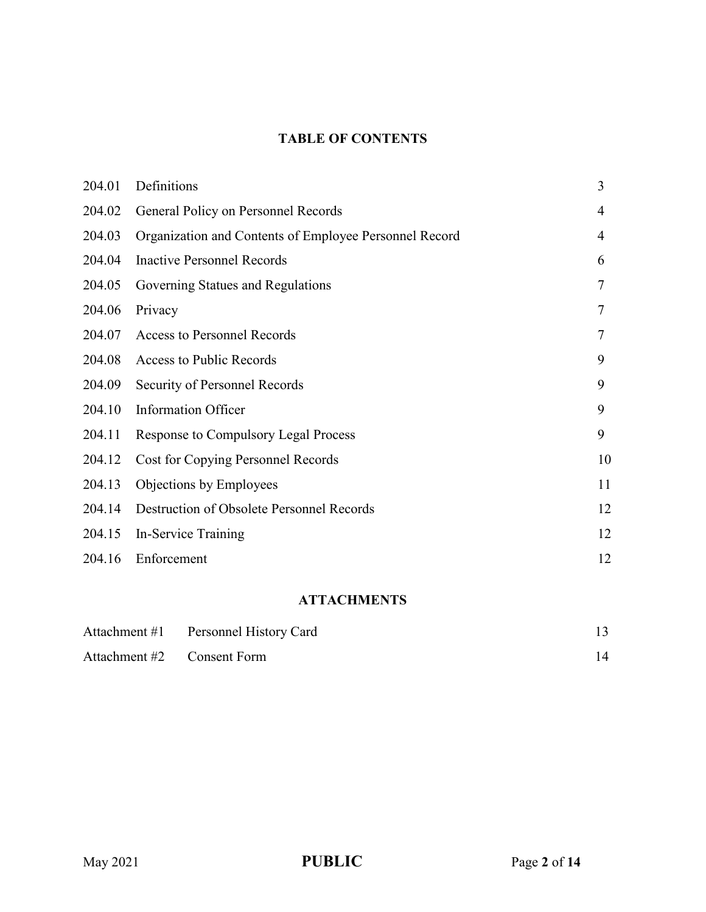## **TABLE OF CONTENTS**

| 204.01 | Definitions                                            | 3              |
|--------|--------------------------------------------------------|----------------|
| 204.02 | General Policy on Personnel Records                    | $\overline{4}$ |
| 204.03 | Organization and Contents of Employee Personnel Record | $\overline{4}$ |
| 204.04 | <b>Inactive Personnel Records</b>                      | 6              |
| 204.05 | Governing Statues and Regulations                      | 7              |
| 204.06 | Privacy                                                | $\tau$         |
| 204.07 | <b>Access to Personnel Records</b>                     | $\tau$         |
| 204.08 | Access to Public Records                               | 9              |
| 204.09 | Security of Personnel Records                          | 9              |
| 204.10 | <b>Information Officer</b>                             | 9              |
| 204.11 | <b>Response to Compulsory Legal Process</b>            | 9              |
| 204.12 | <b>Cost for Copying Personnel Records</b>              | 10             |
| 204.13 | Objections by Employees                                | 11             |
| 204.14 | Destruction of Obsolete Personnel Records              | 12             |
| 204.15 | In-Service Training                                    | 12             |
| 204.16 | Enforcement                                            | 12             |

## **ATTACHMENTS**

|                            | Attachment #1 Personnel History Card |    |
|----------------------------|--------------------------------------|----|
| Attachment #2 Consent Form |                                      | 14 |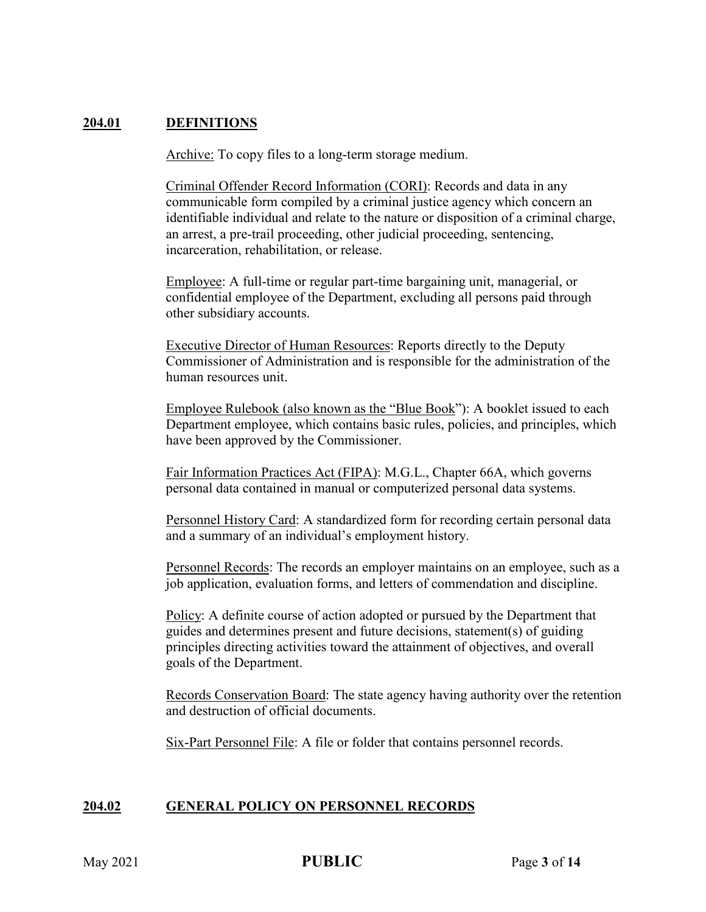#### **204.01 DEFINITIONS**

Archive: To copy files to a long-term storage medium.

Criminal Offender Record Information (CORI): Records and data in any communicable form compiled by a criminal justice agency which concern an identifiable individual and relate to the nature or disposition of a criminal charge, an arrest, a pre-trail proceeding, other judicial proceeding, sentencing, incarceration, rehabilitation, or release.

Employee: A full-time or regular part-time bargaining unit, managerial, or confidential employee of the Department, excluding all persons paid through other subsidiary accounts.

Executive Director of Human Resources: Reports directly to the Deputy Commissioner of Administration and is responsible for the administration of the human resources unit.

Employee Rulebook (also known as the "Blue Book"): A booklet issued to each Department employee, which contains basic rules, policies, and principles, which have been approved by the Commissioner.

Fair Information Practices Act (FIPA): M.G.L., Chapter 66A, which governs personal data contained in manual or computerized personal data systems.

Personnel History Card: A standardized form for recording certain personal data and a summary of an individual's employment history.

Personnel Records: The records an employer maintains on an employee, such as a job application, evaluation forms, and letters of commendation and discipline.

Policy: A definite course of action adopted or pursued by the Department that guides and determines present and future decisions, statement(s) of guiding principles directing activities toward the attainment of objectives, and overall goals of the Department.

Records Conservation Board: The state agency having authority over the retention and destruction of official documents.

Six-Part Personnel File: A file or folder that contains personnel records.

#### **204.02 GENERAL POLICY ON PERSONNEL RECORDS**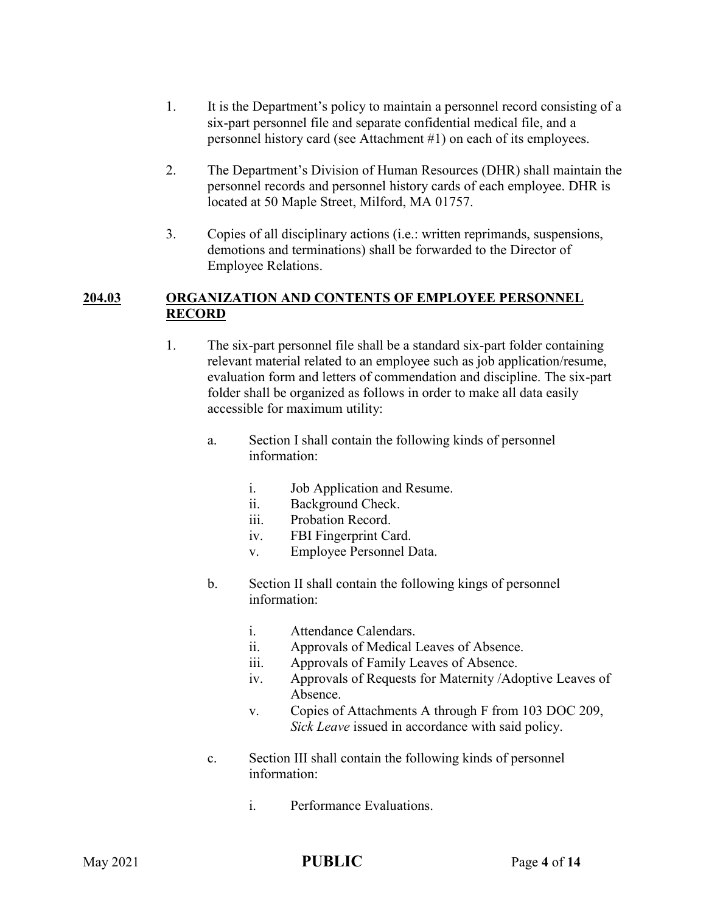- 1. It is the Department's policy to maintain a personnel record consisting of a six-part personnel file and separate confidential medical file, and a personnel history card (see Attachment #1) on each of its employees.
- 2. The Department's Division of Human Resources (DHR) shall maintain the personnel records and personnel history cards of each employee. DHR is located at 50 Maple Street, Milford, MA 01757.
- 3. Copies of all disciplinary actions (i.e.: written reprimands, suspensions, demotions and terminations) shall be forwarded to the Director of Employee Relations.

#### **204.03 ORGANIZATION AND CONTENTS OF EMPLOYEE PERSONNEL RECORD**

- 1. The six-part personnel file shall be a standard six-part folder containing relevant material related to an employee such as job application/resume, evaluation form and letters of commendation and discipline. The six-part folder shall be organized as follows in order to make all data easily accessible for maximum utility:
	- a. Section I shall contain the following kinds of personnel information:
		- i. Job Application and Resume.
		- ii. Background Check.
		- iii. Probation Record.
		- iv. FBI Fingerprint Card.
		- v. Employee Personnel Data.
	- b. Section II shall contain the following kings of personnel information:
		- i. Attendance Calendars.
		- ii. Approvals of Medical Leaves of Absence.
		- iii. Approvals of Family Leaves of Absence.
		- iv. Approvals of Requests for Maternity /Adoptive Leaves of Absence.
		- v. Copies of Attachments A through F from 103 DOC 209, *Sick Leave* issued in accordance with said policy.
	- c. Section III shall contain the following kinds of personnel information:
		- i. Performance Evaluations.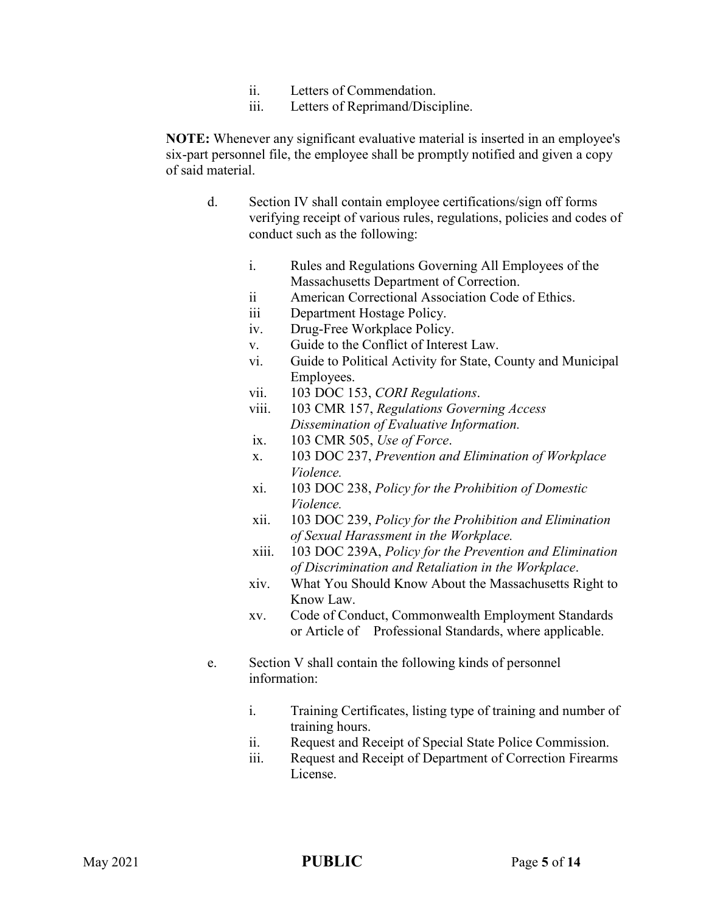- ii. Letters of Commendation.
- iii. Letters of Reprimand/Discipline.

**NOTE:** Whenever any significant evaluative material is inserted in an employee's six-part personnel file, the employee shall be promptly notified and given a copy of said material.

- d. Section IV shall contain employee certifications/sign off forms verifying receipt of various rules, regulations, policies and codes of conduct such as the following:
	- i. Rules and Regulations Governing All Employees of the Massachusetts Department of Correction.
	- ii American Correctional Association Code of Ethics.
	- iii Department Hostage Policy.
	- iv. Drug-Free Workplace Policy.
	- v. Guide to the Conflict of Interest Law.
	- vi. Guide to Political Activity for State, County and Municipal Employees.
	- vii. 103 DOC 153, *CORI Regulations*.
	- viii. 103 CMR 157, *Regulations Governing Access Dissemination of Evaluative Information.*
	- ix. 103 CMR 505, *Use of Force*.
	- x. 103 DOC 237, *Prevention and Elimination of Workplace Violence.*
	- xi. 103 DOC 238, *Policy for the Prohibition of Domestic Violence.*
	- xii. 103 DOC 239, *Policy for the Prohibition and Elimination of Sexual Harassment in the Workplace.*
	- xiii. 103 DOC 239A, *Policy for the Prevention and Elimination of Discrimination and Retaliation in the Workplace*.
	- xiv. What You Should Know About the Massachusetts Right to Know Law.
	- xv. Code of Conduct, Commonwealth Employment Standards or Article of Professional Standards, where applicable.
- e. Section V shall contain the following kinds of personnel information:
	- i. Training Certificates, listing type of training and number of training hours.
	- ii. Request and Receipt of Special State Police Commission.
	- iii. Request and Receipt of Department of Correction Firearms License.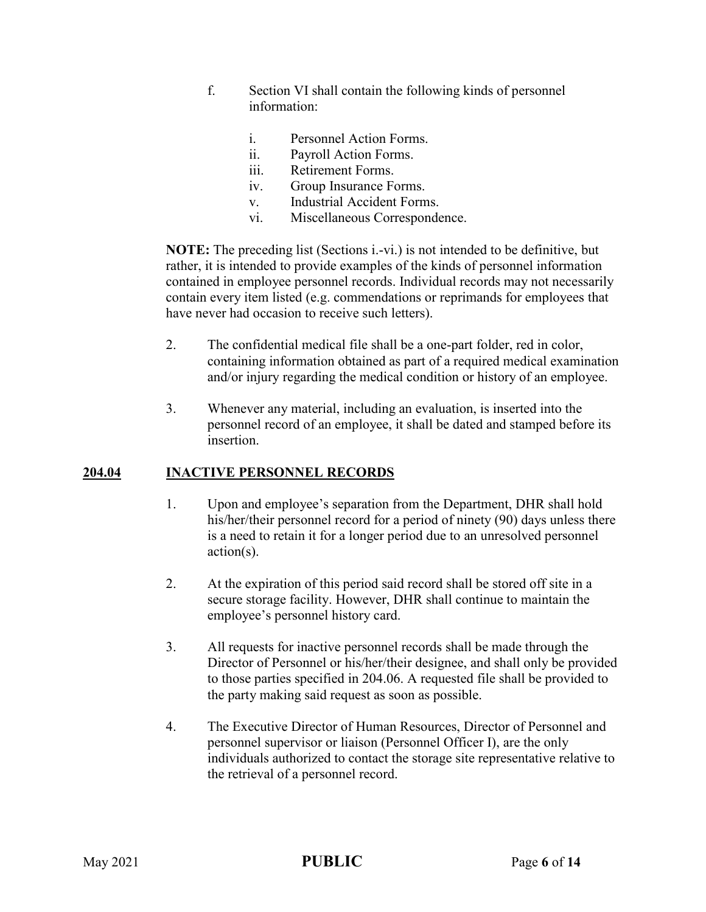- f. Section VI shall contain the following kinds of personnel information:
	- i. Personnel Action Forms.
	- ii. Payroll Action Forms.
	- iii. Retirement Forms.
	- iv. Group Insurance Forms.
	- v. Industrial Accident Forms.
	- vi. Miscellaneous Correspondence.

**NOTE:** The preceding list (Sections i.-vi.) is not intended to be definitive, but rather, it is intended to provide examples of the kinds of personnel information contained in employee personnel records. Individual records may not necessarily contain every item listed (e.g. commendations or reprimands for employees that have never had occasion to receive such letters).

- 2. The confidential medical file shall be a one-part folder, red in color, containing information obtained as part of a required medical examination and/or injury regarding the medical condition or history of an employee.
- 3. Whenever any material, including an evaluation, is inserted into the personnel record of an employee, it shall be dated and stamped before its insertion.

#### **204.04 INACTIVE PERSONNEL RECORDS**

- 1. Upon and employee's separation from the Department, DHR shall hold his/her/their personnel record for a period of ninety (90) days unless there is a need to retain it for a longer period due to an unresolved personnel action(s).
- 2. At the expiration of this period said record shall be stored off site in a secure storage facility. However, DHR shall continue to maintain the employee's personnel history card.
- 3. All requests for inactive personnel records shall be made through the Director of Personnel or his/her/their designee, and shall only be provided to those parties specified in 204.06. A requested file shall be provided to the party making said request as soon as possible.
- 4. The Executive Director of Human Resources, Director of Personnel and personnel supervisor or liaison (Personnel Officer I), are the only individuals authorized to contact the storage site representative relative to the retrieval of a personnel record.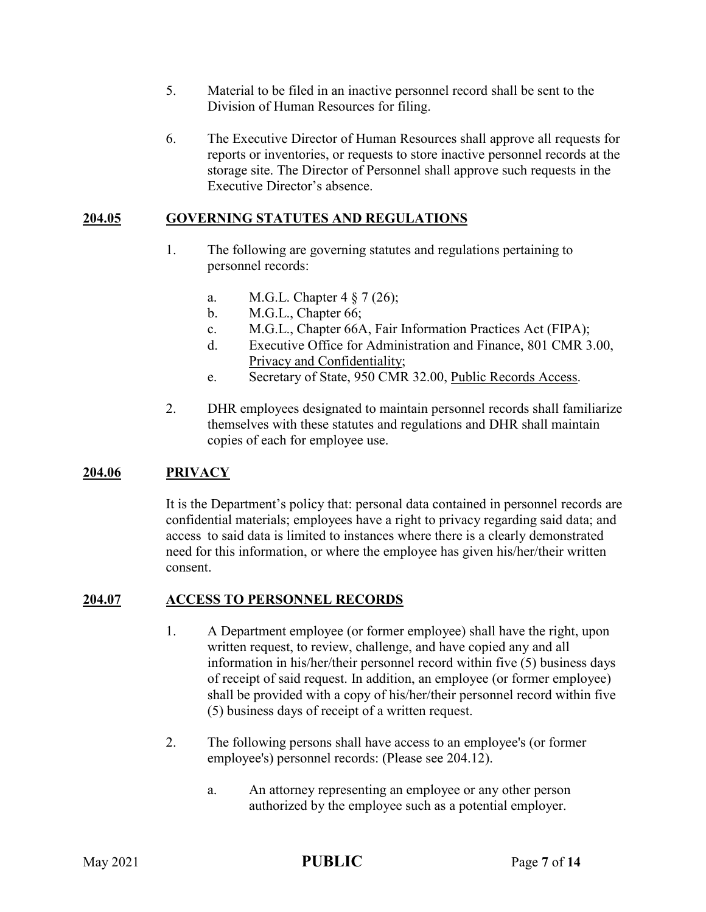- 5. Material to be filed in an inactive personnel record shall be sent to the Division of Human Resources for filing.
- 6. The Executive Director of Human Resources shall approve all requests for reports or inventories, or requests to store inactive personnel records at the storage site. The Director of Personnel shall approve such requests in the Executive Director's absence.

#### **204.05 GOVERNING STATUTES AND REGULATIONS**

- 1. The following are governing statutes and regulations pertaining to personnel records:
	- a. M.G.L. Chapter 4 § 7 (26);
	- b. M.G.L., Chapter 66;
	- c. M.G.L., Chapter 66A, Fair Information Practices Act (FIPA);
	- d. Executive Office for Administration and Finance, 801 CMR 3.00, Privacy and Confidentiality;
	- e. Secretary of State, 950 CMR 32.00, Public Records Access.
- 2. DHR employees designated to maintain personnel records shall familiarize themselves with these statutes and regulations and DHR shall maintain copies of each for employee use.

## **204.06 PRIVACY**

It is the Department's policy that: personal data contained in personnel records are confidential materials; employees have a right to privacy regarding said data; and access to said data is limited to instances where there is a clearly demonstrated need for this information, or where the employee has given his/her/their written consent.

#### **204.07 ACCESS TO PERSONNEL RECORDS**

- 1. A Department employee (or former employee) shall have the right, upon written request, to review, challenge, and have copied any and all information in his/her/their personnel record within five (5) business days of receipt of said request. In addition, an employee (or former employee) shall be provided with a copy of his/her/their personnel record within five (5) business days of receipt of a written request.
- 2. The following persons shall have access to an employee's (or former employee's) personnel records: (Please see 204.12).
	- a. An attorney representing an employee or any other person authorized by the employee such as a potential employer.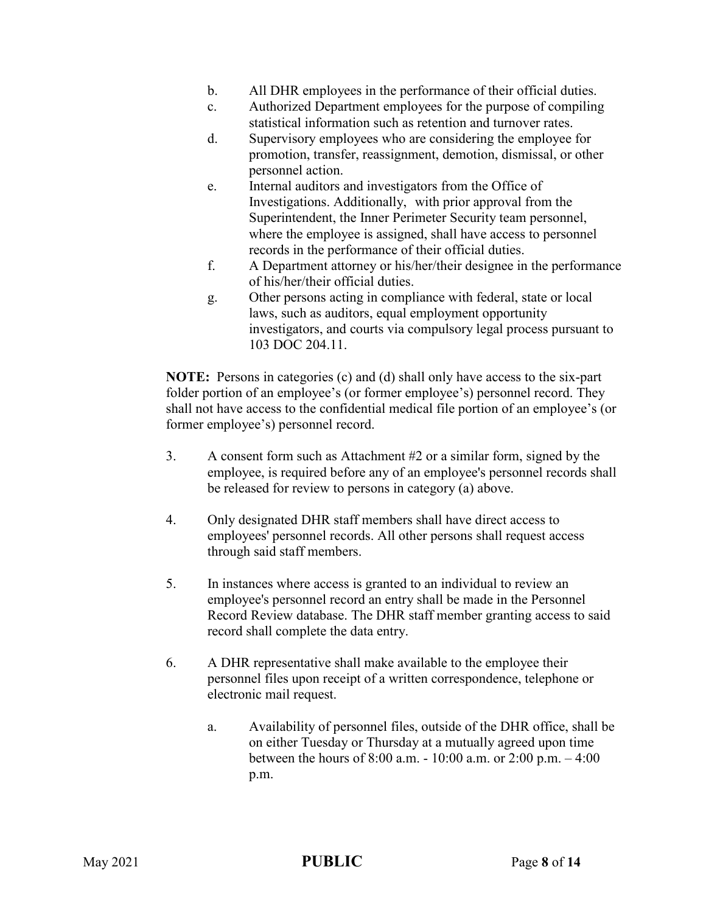- b. All DHR employees in the performance of their official duties.
- c. Authorized Department employees for the purpose of compiling statistical information such as retention and turnover rates.
- d. Supervisory employees who are considering the employee for promotion, transfer, reassignment, demotion, dismissal, or other personnel action.
- e. Internal auditors and investigators from the Office of Investigations. Additionally, with prior approval from the Superintendent, the Inner Perimeter Security team personnel, where the employee is assigned, shall have access to personnel records in the performance of their official duties.
- f. A Department attorney or his/her/their designee in the performance of his/her/their official duties.
- g. Other persons acting in compliance with federal, state or local laws, such as auditors, equal employment opportunity investigators, and courts via compulsory legal process pursuant to 103 DOC 204.11.

**NOTE:** Persons in categories (c) and (d) shall only have access to the six-part folder portion of an employee's (or former employee's) personnel record. They shall not have access to the confidential medical file portion of an employee's (or former employee's) personnel record.

- 3. A consent form such as Attachment #2 or a similar form, signed by the employee, is required before any of an employee's personnel records shall be released for review to persons in category (a) above.
- 4. Only designated DHR staff members shall have direct access to employees' personnel records. All other persons shall request access through said staff members.
- 5. In instances where access is granted to an individual to review an employee's personnel record an entry shall be made in the Personnel Record Review database. The DHR staff member granting access to said record shall complete the data entry.
- 6. A DHR representative shall make available to the employee their personnel files upon receipt of a written correspondence, telephone or electronic mail request.
	- a. Availability of personnel files, outside of the DHR office, shall be on either Tuesday or Thursday at a mutually agreed upon time between the hours of 8:00 a.m. - 10:00 a.m. or 2:00 p.m. – 4:00 p.m.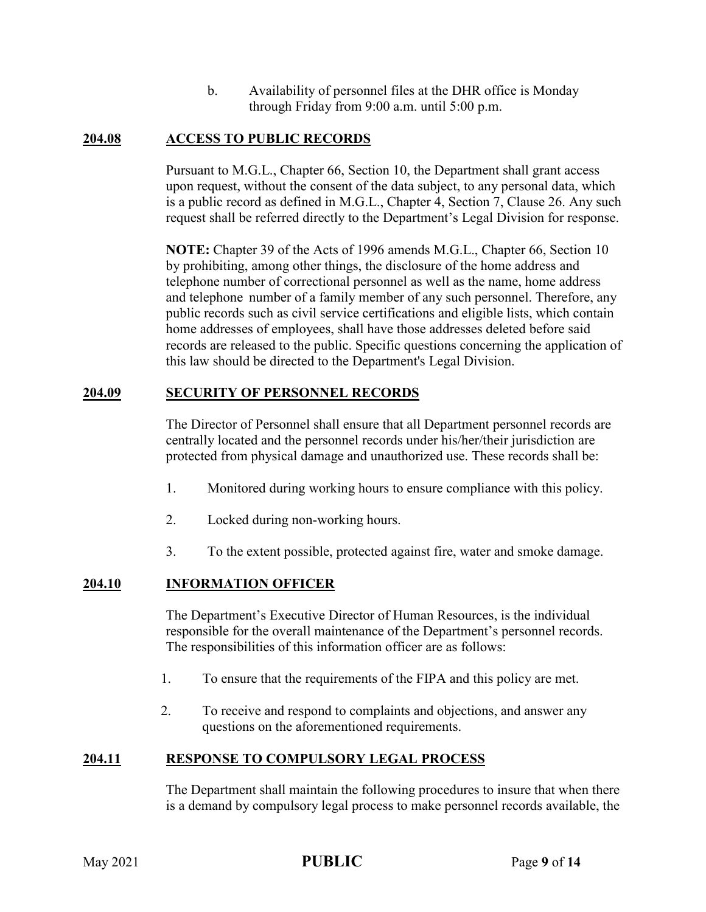b. Availability of personnel files at the DHR office is Monday through Friday from 9:00 a.m. until 5:00 p.m.

#### **204.08 ACCESS TO PUBLIC RECORDS**

Pursuant to M.G.L., Chapter 66, Section 10, the Department shall grant access upon request, without the consent of the data subject, to any personal data, which is a public record as defined in M.G.L., Chapter 4, Section 7, Clause 26. Any such request shall be referred directly to the Department's Legal Division for response.

**NOTE:** Chapter 39 of the Acts of 1996 amends M.G.L., Chapter 66, Section 10 by prohibiting, among other things, the disclosure of the home address and telephone number of correctional personnel as well as the name, home address and telephone number of a family member of any such personnel. Therefore, any public records such as civil service certifications and eligible lists, which contain home addresses of employees, shall have those addresses deleted before said records are released to the public. Specific questions concerning the application of this law should be directed to the Department's Legal Division.

#### **204.09 SECURITY OF PERSONNEL RECORDS**

The Director of Personnel shall ensure that all Department personnel records are centrally located and the personnel records under his/her/their jurisdiction are protected from physical damage and unauthorized use. These records shall be:

- 1. Monitored during working hours to ensure compliance with this policy.
- 2. Locked during non-working hours.
- 3. To the extent possible, protected against fire, water and smoke damage.

#### **204.10 INFORMATION OFFICER**

The Department's Executive Director of Human Resources, is the individual responsible for the overall maintenance of the Department's personnel records. The responsibilities of this information officer are as follows:

- 1. To ensure that the requirements of the FIPA and this policy are met.
- 2. To receive and respond to complaints and objections, and answer any questions on the aforementioned requirements.

#### **204.11 RESPONSE TO COMPULSORY LEGAL PROCESS**

The Department shall maintain the following procedures to insure that when there is a demand by compulsory legal process to make personnel records available, the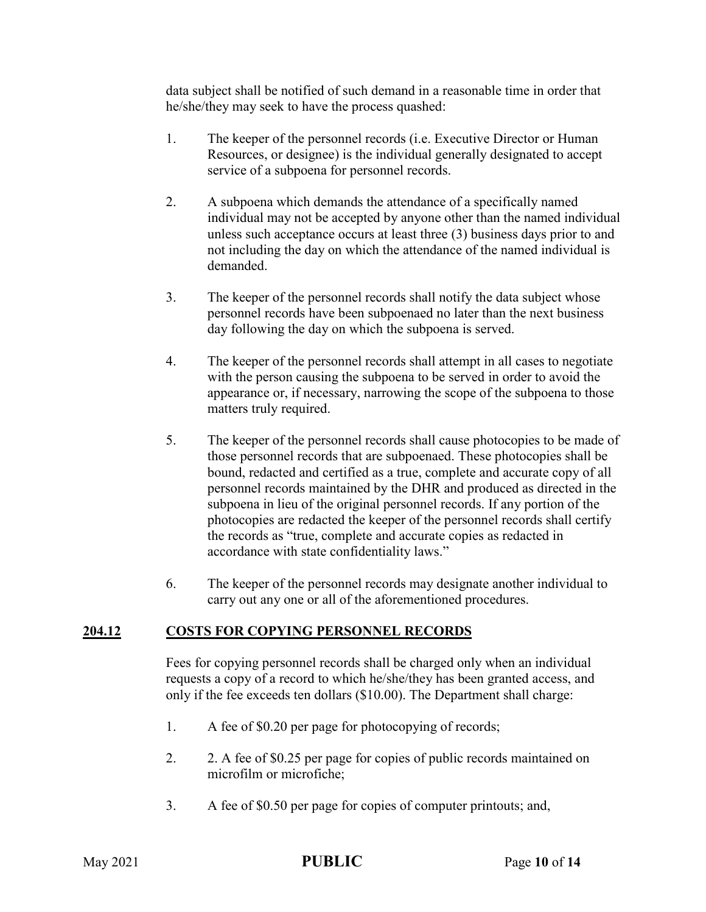data subject shall be notified of such demand in a reasonable time in order that he/she/they may seek to have the process quashed:

- 1. The keeper of the personnel records (i.e. Executive Director or Human Resources, or designee) is the individual generally designated to accept service of a subpoena for personnel records.
- 2. A subpoena which demands the attendance of a specifically named individual may not be accepted by anyone other than the named individual unless such acceptance occurs at least three (3) business days prior to and not including the day on which the attendance of the named individual is demanded.
- 3. The keeper of the personnel records shall notify the data subject whose personnel records have been subpoenaed no later than the next business day following the day on which the subpoena is served.
- 4. The keeper of the personnel records shall attempt in all cases to negotiate with the person causing the subpoena to be served in order to avoid the appearance or, if necessary, narrowing the scope of the subpoena to those matters truly required.
- 5. The keeper of the personnel records shall cause photocopies to be made of those personnel records that are subpoenaed. These photocopies shall be bound, redacted and certified as a true, complete and accurate copy of all personnel records maintained by the DHR and produced as directed in the subpoena in lieu of the original personnel records. If any portion of the photocopies are redacted the keeper of the personnel records shall certify the records as "true, complete and accurate copies as redacted in accordance with state confidentiality laws."
- 6. The keeper of the personnel records may designate another individual to carry out any one or all of the aforementioned procedures.

## **204.12 COSTS FOR COPYING PERSONNEL RECORDS**

Fees for copying personnel records shall be charged only when an individual requests a copy of a record to which he/she/they has been granted access, and only if the fee exceeds ten dollars (\$10.00). The Department shall charge:

- 1. A fee of \$0.20 per page for photocopying of records;
- 2. 2. A fee of \$0.25 per page for copies of public records maintained on microfilm or microfiche;
- 3. A fee of \$0.50 per page for copies of computer printouts; and,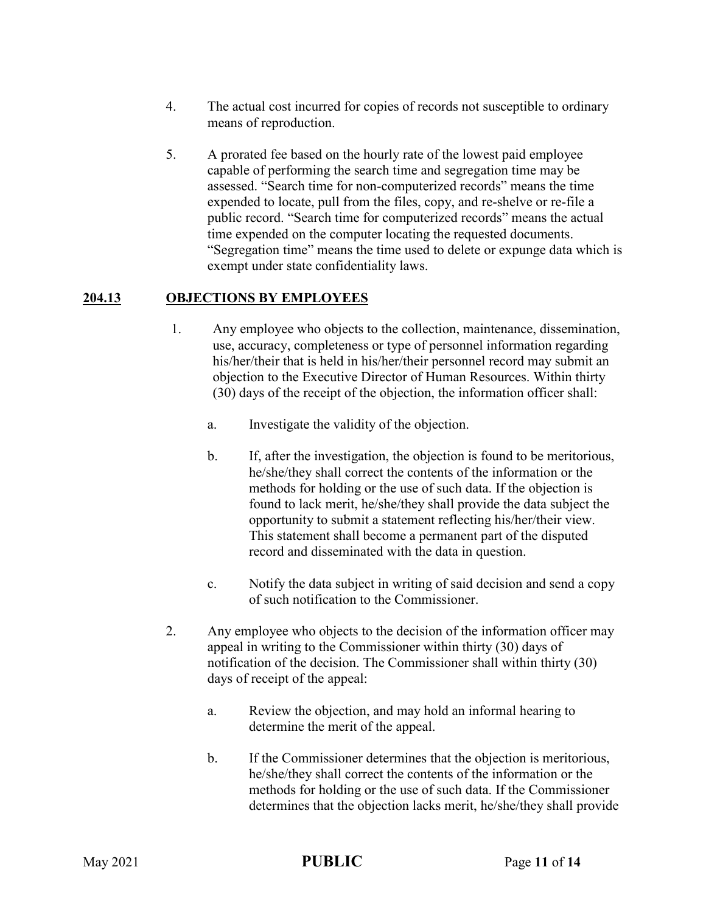- 4. The actual cost incurred for copies of records not susceptible to ordinary means of reproduction.
- 5. A prorated fee based on the hourly rate of the lowest paid employee capable of performing the search time and segregation time may be assessed. "Search time for non-computerized records" means the time expended to locate, pull from the files, copy, and re-shelve or re-file a public record. "Search time for computerized records" means the actual time expended on the computer locating the requested documents. "Segregation time" means the time used to delete or expunge data which is exempt under state confidentiality laws.

## **204.13 OBJECTIONS BY EMPLOYEES**

- 1. Any employee who objects to the collection, maintenance, dissemination, use, accuracy, completeness or type of personnel information regarding his/her/their that is held in his/her/their personnel record may submit an objection to the Executive Director of Human Resources. Within thirty (30) days of the receipt of the objection, the information officer shall:
	- a. Investigate the validity of the objection.
	- b. If, after the investigation, the objection is found to be meritorious, he/she/they shall correct the contents of the information or the methods for holding or the use of such data. If the objection is found to lack merit, he/she/they shall provide the data subject the opportunity to submit a statement reflecting his/her/their view. This statement shall become a permanent part of the disputed record and disseminated with the data in question.
	- c. Notify the data subject in writing of said decision and send a copy of such notification to the Commissioner.
- 2. Any employee who objects to the decision of the information officer may appeal in writing to the Commissioner within thirty (30) days of notification of the decision. The Commissioner shall within thirty (30) days of receipt of the appeal:
	- a. Review the objection, and may hold an informal hearing to determine the merit of the appeal.
	- b. If the Commissioner determines that the objection is meritorious, he/she/they shall correct the contents of the information or the methods for holding or the use of such data. If the Commissioner determines that the objection lacks merit, he/she/they shall provide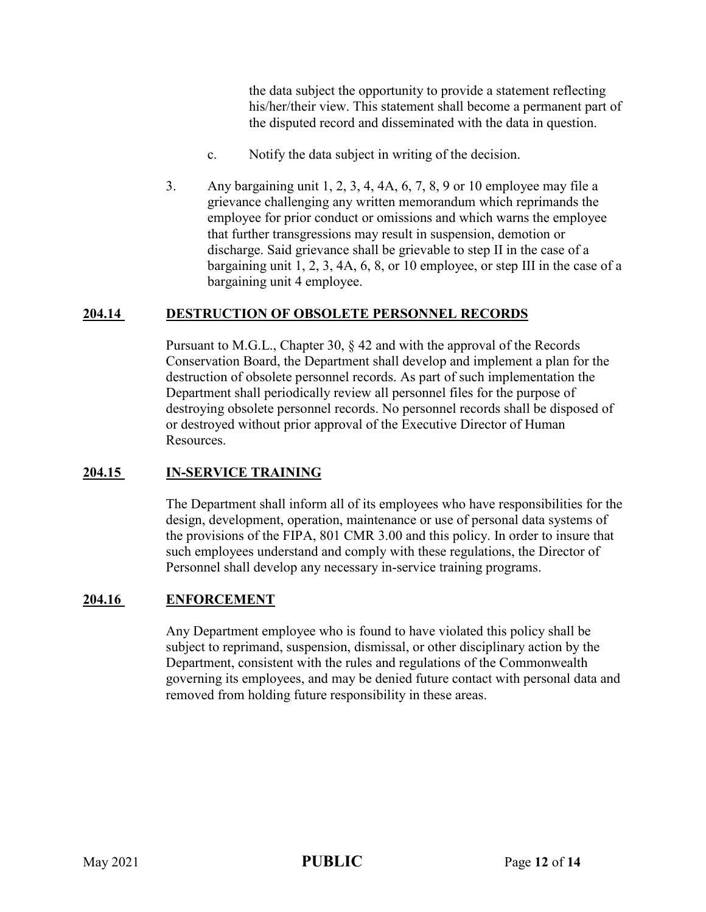the data subject the opportunity to provide a statement reflecting his/her/their view. This statement shall become a permanent part of the disputed record and disseminated with the data in question.

- c. Notify the data subject in writing of the decision.
- 3. Any bargaining unit 1, 2, 3, 4, 4A, 6, 7, 8, 9 or 10 employee may file a grievance challenging any written memorandum which reprimands the employee for prior conduct or omissions and which warns the employee that further transgressions may result in suspension, demotion or discharge. Said grievance shall be grievable to step II in the case of a bargaining unit 1, 2, 3, 4A, 6, 8, or 10 employee, or step III in the case of a bargaining unit 4 employee.

#### **204.14 DESTRUCTION OF OBSOLETE PERSONNEL RECORDS**

Pursuant to M.G.L., Chapter 30, § 42 and with the approval of the Records Conservation Board, the Department shall develop and implement a plan for the destruction of obsolete personnel records. As part of such implementation the Department shall periodically review all personnel files for the purpose of destroying obsolete personnel records. No personnel records shall be disposed of or destroyed without prior approval of the Executive Director of Human Resources.

#### **204.15 IN-SERVICE TRAINING**

The Department shall inform all of its employees who have responsibilities for the design, development, operation, maintenance or use of personal data systems of the provisions of the FIPA, 801 CMR 3.00 and this policy. In order to insure that such employees understand and comply with these regulations, the Director of Personnel shall develop any necessary in-service training programs.

#### **204.16 ENFORCEMENT**

Any Department employee who is found to have violated this policy shall be subject to reprimand, suspension, dismissal, or other disciplinary action by the Department, consistent with the rules and regulations of the Commonwealth governing its employees, and may be denied future contact with personal data and removed from holding future responsibility in these areas.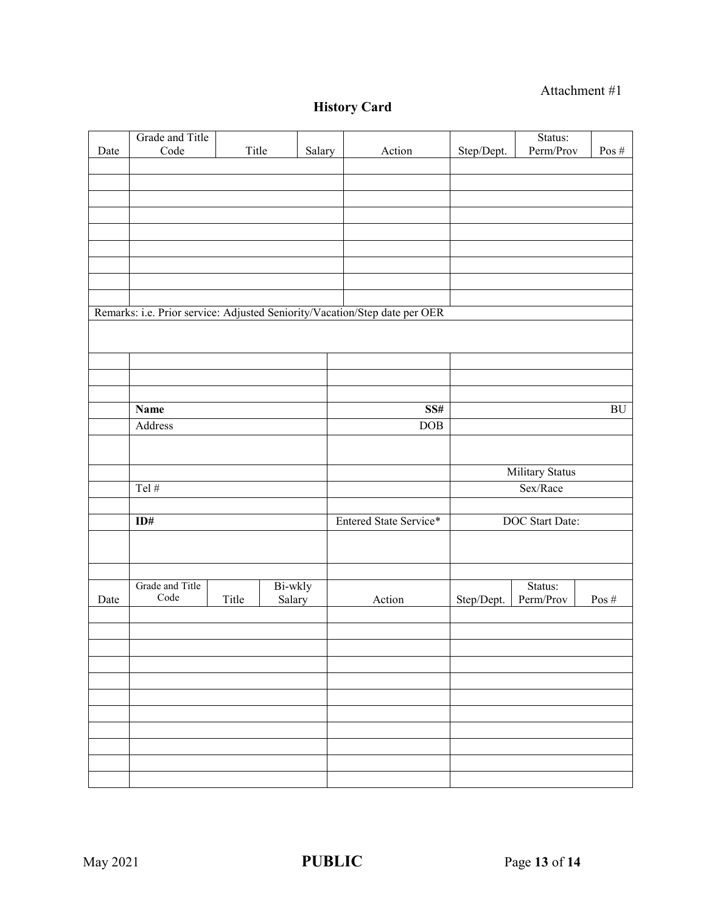## Attachment #1

# **History Card**

| Title<br>Remarks: i.e. Prior service: Adjusted Seniority/Vacation/Step date per OER<br><b>Name</b><br>SS#<br>BU<br>Address<br>DOB<br>Military Status |      | Grade and Title |  |        |        |            | Status:   |          |
|------------------------------------------------------------------------------------------------------------------------------------------------------|------|-----------------|--|--------|--------|------------|-----------|----------|
|                                                                                                                                                      | Date | $\rm Code$      |  | Salary | Action | Step/Dept. | Perm/Prov | Pos $\#$ |
|                                                                                                                                                      |      |                 |  |        |        |            |           |          |
|                                                                                                                                                      |      |                 |  |        |        |            |           |          |
|                                                                                                                                                      |      |                 |  |        |        |            |           |          |
|                                                                                                                                                      |      |                 |  |        |        |            |           |          |
|                                                                                                                                                      |      |                 |  |        |        |            |           |          |
|                                                                                                                                                      |      |                 |  |        |        |            |           |          |
|                                                                                                                                                      |      |                 |  |        |        |            |           |          |
|                                                                                                                                                      |      |                 |  |        |        |            |           |          |
|                                                                                                                                                      |      |                 |  |        |        |            |           |          |
|                                                                                                                                                      |      |                 |  |        |        |            |           |          |
|                                                                                                                                                      |      |                 |  |        |        |            |           |          |
|                                                                                                                                                      |      |                 |  |        |        |            |           |          |
|                                                                                                                                                      |      |                 |  |        |        |            |           |          |
|                                                                                                                                                      |      |                 |  |        |        |            |           |          |
|                                                                                                                                                      |      |                 |  |        |        |            |           |          |
|                                                                                                                                                      |      |                 |  |        |        |            |           |          |
|                                                                                                                                                      |      |                 |  |        |        |            |           |          |
|                                                                                                                                                      |      |                 |  |        |        |            |           |          |
| Tel $#$<br>Sex/Race                                                                                                                                  |      |                 |  |        |        |            |           |          |
|                                                                                                                                                      |      |                 |  |        |        |            |           |          |
| Entered State Service*<br>ID#<br>DOC Start Date:                                                                                                     |      |                 |  |        |        |            |           |          |
|                                                                                                                                                      |      |                 |  |        |        |            |           |          |
|                                                                                                                                                      |      |                 |  |        |        |            |           |          |
|                                                                                                                                                      |      |                 |  |        |        |            |           |          |
| Grade and Title<br>Bi-wkly<br>Status:                                                                                                                |      |                 |  |        |        |            |           |          |
| $\rm Code$<br>Title<br>Step/Dept.<br>Perm/Prov<br>Date<br>Action<br>Pos $\#$<br>Salary                                                               |      |                 |  |        |        |            |           |          |
|                                                                                                                                                      |      |                 |  |        |        |            |           |          |
|                                                                                                                                                      |      |                 |  |        |        |            |           |          |
|                                                                                                                                                      |      |                 |  |        |        |            |           |          |
|                                                                                                                                                      |      |                 |  |        |        |            |           |          |
|                                                                                                                                                      |      |                 |  |        |        |            |           |          |
|                                                                                                                                                      |      |                 |  |        |        |            |           |          |
|                                                                                                                                                      |      |                 |  |        |        |            |           |          |
|                                                                                                                                                      |      |                 |  |        |        |            |           |          |
|                                                                                                                                                      |      |                 |  |        |        |            |           |          |
|                                                                                                                                                      |      |                 |  |        |        |            |           |          |